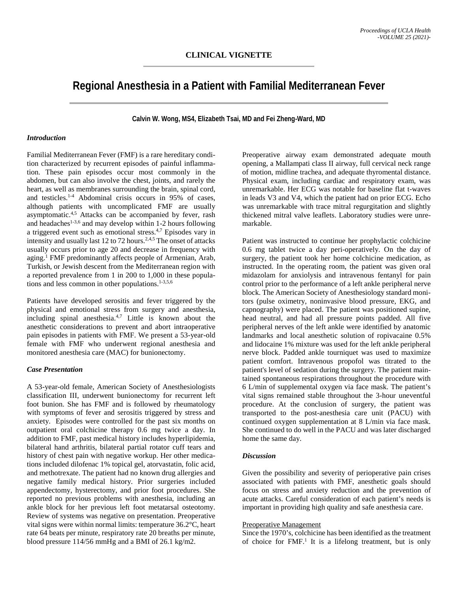# **Regional Anesthesia in a Patient with Familial Mediterranean Fever**

**Calvin W. Wong, MS4, Elizabeth Tsai, MD and Fei Zheng-Ward, MD**

## *Introduction*

Familial Mediterranean Fever (FMF) is a rare hereditary condition characterized by recurrent episodes of painful inflammation. These pain episodes occur most commonly in the abdomen, but can also involve the chest, joints, and rarely the heart, as well as membranes surrounding the brain, spinal cord, and testicles.<sup>1-4</sup> Abdominal crisis occurs in 95% of cases, although patients with uncomplicated FMF are usually asymptomatic.4,5 Attacks can be accompanied by fever, rash and headaches<sup>1-3,6</sup> and may develop within 1-2 hours following a triggered event such as emotional stress.4,7 Episodes vary in intensity and usually last 12 to 72 hours.2,4,5 The onset of attacks usually occurs prior to age 20 and decrease in frequency with aging.1 FMF predominantly affects people of Armenian, Arab, Turkish, or Jewish descent from the Mediterranean region with a reported prevalence from 1 in 200 to 1,000 in these populations and less common in other populations.<sup>1-3,5,6</sup>

Patients have developed serositis and fever triggered by the physical and emotional stress from surgery and anesthesia, including spinal anesthesia.<sup>4,7</sup> Little is known about the anesthetic considerations to prevent and abort intraoperative pain episodes in patients with FMF. We present a 53-year-old female with FMF who underwent regional anesthesia and monitored anesthesia care (MAC) for bunionectomy.

# *Case Presentation*

A 53-year-old female, American Society of Anesthesiologists classification III, underwent bunionectomy for recurrent left foot bunion. She has FMF and is followed by rheumatology with symptoms of fever and serositis triggered by stress and anxiety. Episodes were controlled for the past six months on outpatient oral colchicine therapy 0.6 mg twice a day. In addition to FMF, past medical history includes hyperlipidemia, bilateral hand arthritis, bilateral partial rotator cuff tears and history of chest pain with negative workup. Her other medications included dilofenac 1% topical gel, atorvastatin, folic acid, and methotrexate. The patient had no known drug allergies and negative family medical history. Prior surgeries included appendectomy, hysterectomy, and prior foot procedures. She reported no previous problems with anesthesia, including an ankle block for her previous left foot metatarsal osteotomy. Review of systems was negative on presentation. Preoperative vital signs were within normal limits: temperature 36.2°C, heart rate 64 beats per minute, respiratory rate 20 breaths per minute, blood pressure 114/56 mmHg and a BMI of 26.1 kg/m2.

Preoperative airway exam demonstrated adequate mouth opening, a Mallampati class II airway, full cervical neck range of motion, midline trachea, and adequate thyromental distance. Physical exam, including cardiac and respiratory exam, was unremarkable. Her ECG was notable for baseline flat t-waves in leads V3 and V4, which the patient had on prior ECG. Echo was unremarkable with trace mitral regurgitation and slightly thickened mitral valve leaflets. Laboratory studies were unremarkable.

Patient was instructed to continue her prophylactic colchicine 0.6 mg tablet twice a day peri-operatively. On the day of surgery, the patient took her home colchicine medication, as instructed. In the operating room, the patient was given oral midazolam for anxiolysis and intravenous fentanyl for pain control prior to the performance of a left ankle peripheral nerve block. The American Society of Anesthesiology standard monitors (pulse oximetry, noninvasive blood pressure, EKG, and capnography) were placed. The patient was positioned supine, head neutral, and had all pressure points padded. All five peripheral nerves of the left ankle were identified by anatomic landmarks and local anesthetic solution of ropivacaine 0.5% and lidocaine 1% mixture was used for the left ankle peripheral nerve block. Padded ankle tourniquet was used to maximize patient comfort. Intravenous propofol was titrated to the patient's level of sedation during the surgery. The patient maintained spontaneous respirations throughout the procedure with 6 L/min of supplemental oxygen via face mask. The patient's vital signs remained stable throughout the 3-hour uneventful procedure. At the conclusion of surgery, the patient was transported to the post-anesthesia care unit (PACU) with continued oxygen supplementation at 8 L/min via face mask. She continued to do well in the PACU and was later discharged home the same day.

#### *Discussion*

Given the possibility and severity of perioperative pain crises associated with patients with FMF, anesthetic goals should focus on stress and anxiety reduction and the prevention of acute attacks. Careful consideration of each patient's needs is important in providing high quality and safe anesthesia care.

#### Preoperative Management

Since the 1970's, colchicine has been identified as the treatment of choice for FMF.<sup>1</sup> It is a lifelong treatment, but is only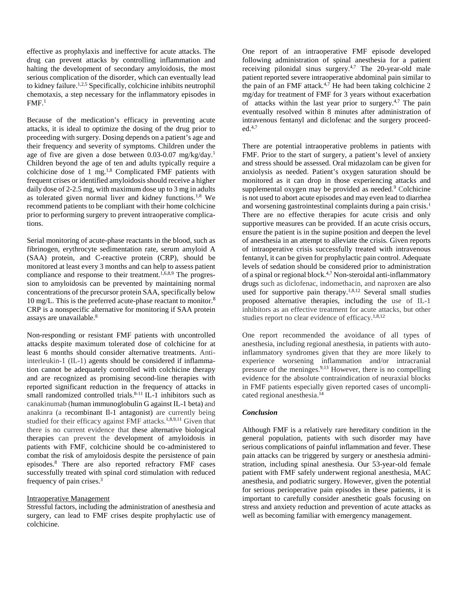effective as prophylaxis and ineffective for acute attacks. The drug can prevent attacks by controlling inflammation and halting the development of secondary amyloidosis, the most serious complication of the disorder, which can eventually lead to kidney failure.1,2,5 Specifically, colchicine inhibits neutrophil chemotaxis, a step necessary for the inflammatory episodes in  $FMF<sup>1</sup>$ 

Because of the medication's efficacy in preventing acute attacks, it is ideal to optimize the dosing of the drug prior to proceeding with surgery. Dosing depends on a patient's age and their frequency and severity of symptoms. Children under the age of five are given a dose between 0.03-0.07 mg/kg/day.<sup>1</sup> Children beyond the age of ten and adults typically require a colchicine dose of 1 mg. $^{1,8}$  Complicated FMF patients with frequent crises or identified amyloidosis should receive a higher daily dose of 2-2.5 mg, with maximum dose up to 3 mg in adults as tolerated given normal liver and kidney functions.1,8 We recommend patients to be compliant with their home colchicine prior to performing surgery to prevent intraoperative complications.

Serial monitoring of acute-phase reactants in the blood, such as fibrinogen, erythrocyte sedimentation rate, serum amyloid A (SAA) protein, and C-reactive protein (CRP), should be monitored at least every 3 months and can help to assess patient compliance and response to their treatment.<sup>1,6,8,9</sup> The progression to amyloidosis can be prevented by maintaining normal concentrations of the precursor protein SAA, specifically below 10 mg/L. This is the preferred acute-phase reactant to monitor.8 CRP is a nonspecific alternative for monitoring if SAA protein assays are unavailable.8

Non-responding or resistant FMF patients with uncontrolled attacks despite maximum tolerated dose of colchicine for at least 6 months should consider alternative treatments. Antiinterleukin-1 (IL-1) agents should be considered if inflammation cannot be adequately controlled with colchicine therapy and are recognized as promising second-line therapies with reported significant reduction in the frequency of attacks in small randomized controlled trials.<sup>8-11</sup> IL-1 inhibitors such as canakinumab (human immunoglobulin G against IL-1 beta) and anakinra (a recombinant Il-1 antagonist) are currently being studied for their efficacy against FMF attacks.<sup>1,8,9,11</sup> Given that there is no current evidence that these alternative biological therapies can prevent the development of amyloidosis in patients with FMF, colchicine should be co-administered to combat the risk of amyloidosis despite the persistence of pain episodes.8 There are also reported refractory FMF cases successfully treated with spinal cord stimulation with reduced frequency of pain crises.3

#### Intraoperative Management

Stressful factors, including the administration of anesthesia and surgery, can lead to FMF crises despite prophylactic use of colchicine.

One report of an intraoperative FMF episode developed following administration of spinal anesthesia for a patient receiving pilonidal sinus surgery.<sup>4,7</sup> The 20-year-old male patient reported severe intraoperative abdominal pain similar to the pain of an FMF attack.<sup>4,7</sup> He had been taking colchicine 2 mg/day for treatment of FMF for 3 years without exacerbation of attacks within the last year prior to surgery.<sup>4,7</sup> The pain eventually resolved within 8 minutes after administration of intravenous fentanyl and diclofenac and the surgery proceed $ed.4,7$ 

There are potential intraoperative problems in patients with FMF. Prior to the start of surgery, a patient's level of anxiety and stress should be assessed. Oral midazolam can be given for anxiolysis as needed. Patient's oxygen saturation should be monitored as it can drop in those experiencing attacks and supplemental oxygen may be provided as needed. <sup>9</sup> Colchicine is not used to abort acute episodes and may even lead to diarrhea and worsening gastrointestinal complaints during a pain crisis.<sup>1</sup> There are no effective therapies for acute crisis and only supportive measures can be provided. If an acute crisis occurs, ensure the patient is in the supine position and deepen the level of anesthesia in an attempt to alleviate the crisis. Given reports of intraoperative crisis successfully treated with intravenous fentanyl, it can be given for prophylactic pain control. Adequate levels of sedation should be considered prior to administration of a spinal or regional block.<sup>4,7</sup> Non-steroidal anti-inflammatory drugs such as diclofenac, indomethacin, and naproxen are also used for supportive pain therapy.<sup>1,8,12</sup> Several small studies proposed alternative therapies, including the use of IL-1 inhibitors as an effective treatment for acute attacks, but other studies report no clear evidence of efficacy.<sup>1,8,12</sup>

One report recommended the avoidance of all types of anesthesia, including regional anesthesia, in patients with autoinflammatory syndromes given that they are more likely to experience worsening inflammation and/or intracranial pressure of the meninges.9,13 However, there is no compelling evidence for the absolute contraindication of neuraxial blocks in FMF patients especially given reported cases of uncomplicated regional anesthesia.14

#### *Conclusion*

Although FMF is a relatively rare hereditary condition in the general population, patients with such disorder may have serious complications of painful inflammation and fever. These pain attacks can be triggered by surgery or anesthesia administration, including spinal anesthesia. Our 53-year-old female patient with FMF safely underwent regional anesthesia, MAC anesthesia, and podiatric surgery. However, given the potential for serious perioperative pain episodes in these patients, it is important to carefully consider anesthetic goals focusing on stress and anxiety reduction and prevention of acute attacks as well as becoming familiar with emergency management.